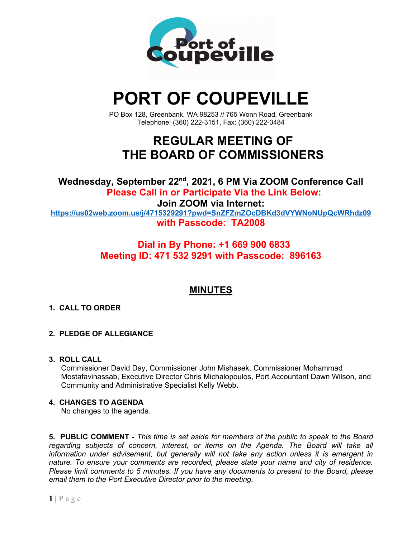

# **PORT OF COUPEVILLE**

PO Box 128, Greenbank, WA 98253 // 765 Wonn Road, Greenbank Telephone: (360) 222-3151, Fax: (360) 222-3484

## **REGULAR MEETING OF THE BOARD OF COMMISSIONERS**

**Wednesday, September 22nd, 2021, 6 PM Via ZOOM Conference Call Please Call in or Participate Via the Link Below: Join ZOOM via Internet: <https://us02web.zoom.us/j/4715329291?pwd=SnZFZmZOcDBKd3dVYWNoNUpQcWRhdz09> with Passcode: TA2008**

## **Dial in By Phone: +1 669 900 6833 Meeting ID: 471 532 9291 with Passcode: 896163**

## **MINUTES**

## **1. CALL TO ORDER**

### **2. PLEDGE OF ALLEGIANCE**

**3. ROLL CALL**

Commissioner David Day, Commissioner John Mishasek, Commissioner Mohammad Mostafavinassab, Executive Director Chris Michalopoulos, Port Accountant Dawn Wilson, and Community and Administrative Specialist Kelly Webb.

### **4. CHANGES TO AGENDA**

No changes to the agenda.

**5. PUBLIC COMMENT -** *This time is set aside for members of the public to speak to the Board regarding subjects of concern, interest, or items on the Agenda. The Board will take all information under advisement, but generally will not take any action unless it is emergent in nature. To ensure your comments are recorded, please state your name and city of residence. Please limit comments to 5 minutes. If you have any documents to present to the Board, please email them to the Port Executive Director prior to the meeting.*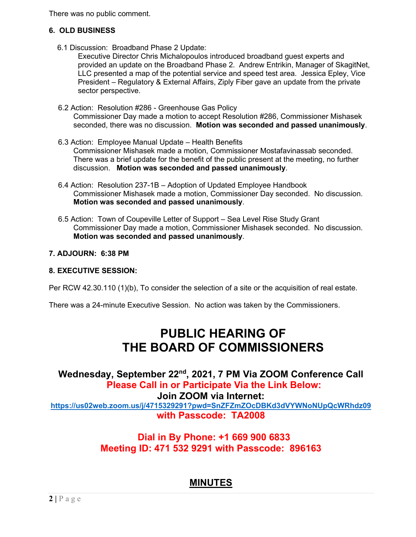There was no public comment.

## **6. OLD BUSINESS**

6.1 Discussion: Broadband Phase 2 Update:

Executive Director Chris Michalopoulos introduced broadband guest experts and provided an update on the Broadband Phase 2. Andrew Entrikin, Manager of SkagitNet, LLC presented a map of the potential service and speed test area. Jessica Epley, Vice President – Regulatory & External Affairs, Ziply Fiber gave an update from the private sector perspective.

- 6.2 Action: Resolution #286 Greenhouse Gas Policy Commissioner Day made a motion to accept Resolution #286, Commissioner Mishasek seconded, there was no discussion. **Motion was seconded and passed unanimously**.
- 6.3 Action: Employee Manual Update Health Benefits Commissioner Mishasek made a motion, Commissioner Mostafavinassab seconded. There was a brief update for the benefit of the public present at the meeting, no further discussion. **Motion was seconded and passed unanimously**.
- 6.4 Action: Resolution 237-1B Adoption of Updated Employee Handbook Commissioner Mishasek made a motion, Commissioner Day seconded. No discussion. **Motion was seconded and passed unanimously**.
- 6.5 Action: Town of Coupeville Letter of Support Sea Level Rise Study Grant Commissioner Day made a motion, Commissioner Mishasek seconded. No discussion. **Motion was seconded and passed unanimously**.

### **7. ADJOURN: 6:38 PM**

#### **8. EXECUTIVE SESSION:**

Per RCW 42.30.110 (1)(b), To consider the selection of a site or the acquisition of real estate.

There was a 24-minute Executive Session. No action was taken by the Commissioners.

## **PUBLIC HEARING OF THE BOARD OF COMMISSIONERS**

**Wednesday, September 22nd, 2021, 7 PM Via ZOOM Conference Call Please Call in or Participate Via the Link Below: Join ZOOM via Internet: <https://us02web.zoom.us/j/4715329291?pwd=SnZFZmZOcDBKd3dVYWNoNUpQcWRhdz09> with Passcode: TA2008**

## **Dial in By Phone: +1 669 900 6833 Meeting ID: 471 532 9291 with Passcode: 896163**

## **MINUTES**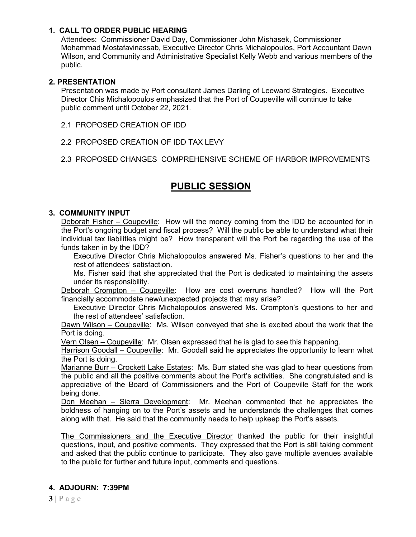#### **1. CALL TO ORDER PUBLIC HEARING**

Attendees: Commissioner David Day, Commissioner John Mishasek, Commissioner Mohammad Mostafavinassab, Executive Director Chris Michalopoulos, Port Accountant Dawn Wilson, and Community and Administrative Specialist Kelly Webb and various members of the public.

#### **2. PRESENTATION**

Presentation was made by Port consultant James Darling of Leeward Strategies. Executive Director Chis Michalopoulos emphasized that the Port of Coupeville will continue to take public comment until October 22, 2021.

- 2.1 PROPOSED CREATION OF IDD
- 2.2 PROPOSED CREATION OF IDD TAX LEVY
- 2.3 PROPOSED CHANGES COMPREHENSIVE SCHEME OF HARBOR IMPROVEMENTS

## **PUBLIC SESSION**

#### **3. COMMUNITY INPUT**

Deborah Fisher – Coupeville: How will the money coming from the IDD be accounted for in the Port's ongoing budget and fiscal process? Will the public be able to understand what their individual tax liabilities might be? How transparent will the Port be regarding the use of the funds taken in by the IDD?

Executive Director Chris Michalopoulos answered Ms. Fisher's questions to her and the rest of attendees' satisfaction.

Ms. Fisher said that she appreciated that the Port is dedicated to maintaining the assets under its responsibility.

Deborah Crompton - Coupeville: How are cost overruns handled? How will the Port financially accommodate new/unexpected projects that may arise?

Executive Director Chris Michalopoulos answered Ms. Crompton's questions to her and the rest of attendees' satisfaction.

Dawn Wilson – Coupeville: Ms. Wilson conveyed that she is excited about the work that the Port is doing.

Vern Olsen – Coupeville: Mr. Olsen expressed that he is glad to see this happening.

Harrison Goodall – Coupeville: Mr. Goodall said he appreciates the opportunity to learn what the Port is doing.

Marianne Burr – Crockett Lake Estates: Ms. Burr stated she was glad to hear questions from the public and all the positive comments about the Port's activities. She congratulated and is appreciative of the Board of Commissioners and the Port of Coupeville Staff for the work being done.

Don Meehan – Sierra Development: Mr. Meehan commented that he appreciates the boldness of hanging on to the Port's assets and he understands the challenges that comes along with that. He said that the community needs to help upkeep the Port's assets.

The Commissioners and the Executive Director thanked the public for their insightful questions, input, and positive comments. They expressed that the Port is still taking comment and asked that the public continue to participate. They also gave multiple avenues available to the public for further and future input, comments and questions.

#### **4. ADJOURN: 7:39PM**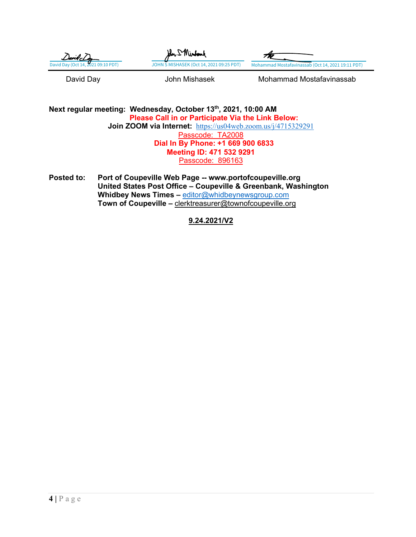| $D$ avib $cD$                      | John I Minfand                           |                                                   |
|------------------------------------|------------------------------------------|---------------------------------------------------|
| David Day (Oct 14, 2021 09:10 PDT) | JOHN S MISHASEK (Oct 14, 2021 09:25 PDT) | Mohammad Mostafavinassab (Oct 14, 2021 19:11 PDT) |
| David Day                          | John Mishasek                            | Mohammad Mostafavinassab                          |

**Next regular meeting: Wednesday, October 13th, 2021, 10:00 AM Please Call in or Participate Via the Link Below: Join ZOOM via Internet:** <https://us04web.zoom.us/j/4715329291> Passcode: TA2008 **Dial In By Phone: +1 669 900 6833 Meeting ID: 471 532 9291** Passcode: 896163

**Posted to: Port of Coupeville Web Page -- www.portofcoupeville.org United States Post Office – Coupeville & Greenbank, Washington Whidbey News Times –** [editor@whidbeynewsgroup.com](mailto:editor@whidbeynewsgroup.com) **Town of Coupeville –** [clerktreasurer@townofcoupeville.org](mailto:clerktreasurer@townofcoupeville.org)

**9.24.2021/V2**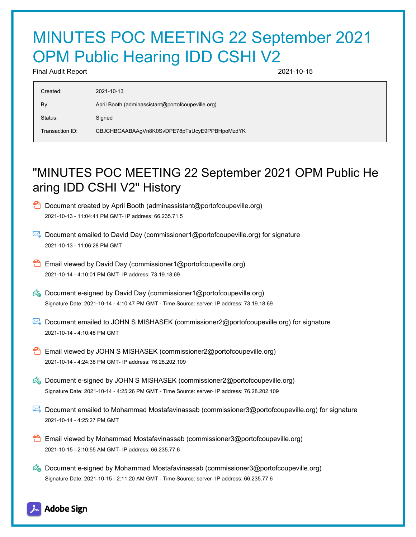# MINUTES POC MEETING 22 September 2021 OPM Public Hearing IDD CSHI V2

Final Audit Report 2021-10-15

| Created:        | 2021-10-13                                        |  |
|-----------------|---------------------------------------------------|--|
| By:             | April Booth (adminassistant@portofcoupeville.org) |  |
| Status:         | Signed                                            |  |
| Transaction ID: | CBJCHBCAABAAgVn8K0SvDPE78pTsUcyE9PPBHpoMzdYK      |  |

# "MINUTES POC MEETING 22 September 2021 OPM Public He aring IDD CSHI V2" History

- **D** Document created by April Booth (adminassistant@portofcoupeville.org) 2021-10-13 - 11:04:41 PM GMT- IP address: 66.235.71.5
- Document emailed to David Day (commissioner1@portofcoupeville.org) for signature 2021-10-13 - 11:06:28 PM GMT
- **Email viewed by David Day (commissioner1@portofcoupeville.org)** 2021-10-14 - 4:10:01 PM GMT- IP address: 73.19.18.69
- $\mathscr{D}_{\bullet}$  Document e-signed by David Day (commissioner1@portofcoupeville.org) Signature Date: 2021-10-14 - 4:10:47 PM GMT - Time Source: server- IP address: 73.19.18.69
- Document emailed to JOHN S MISHASEK (commissioner2@portofcoupeville.org) for signature 2021-10-14 - 4:10:48 PM GMT
- **Email viewed by JOHN S MISHASEK (commissioner2@portofcoupeville.org)** 2021-10-14 - 4:24:38 PM GMT- IP address: 76.28.202.109
- $\mathscr{O}_\bullet$  Document e-signed by JOHN S MISHASEK (commissioner2@portofcoupeville.org) Signature Date: 2021-10-14 - 4:25:26 PM GMT - Time Source: server- IP address: 76.28.202.109
- **Document emailed to Mohammad Mostafavinassab (commissioner3@portofcoupeville.org) for signature** 2021-10-14 - 4:25:27 PM GMT
- **Email viewed by Mohammad Mostafavinassab (commissioner3@portofcoupeville.org)** 2021-10-15 - 2:10:55 AM GMT- IP address: 66.235.77.6
- $\mathscr{D}_\bullet$  Document e-signed by Mohammad Mostafavinassab (commissioner3@portofcoupeville.org) Signature Date: 2021-10-15 - 2:11:20 AM GMT - Time Source: server- IP address: 66.235.77.6

## Adobe Sign